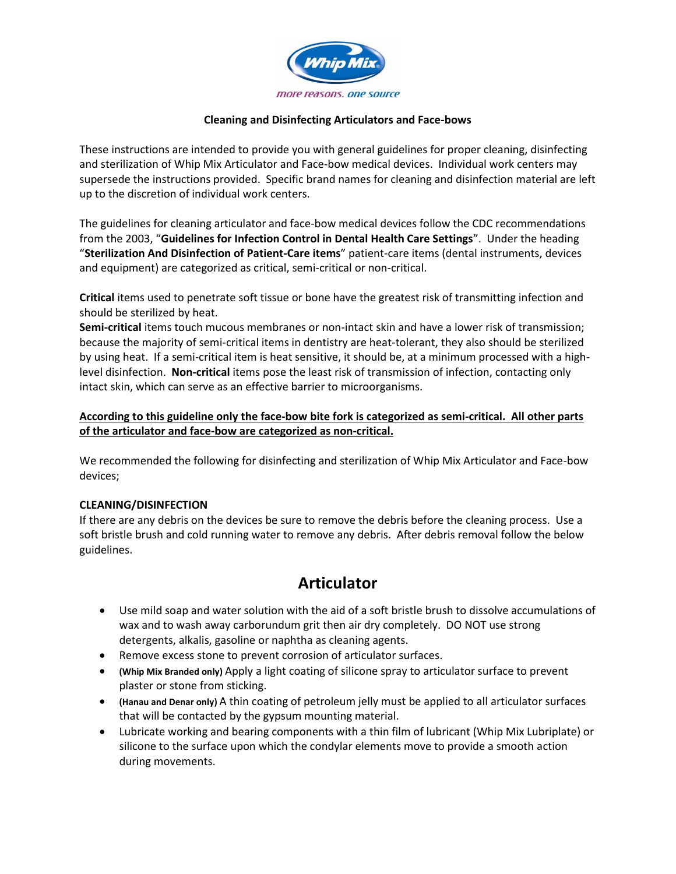

### **Cleaning and Disinfecting Articulators and Face-bows**

These instructions are intended to provide you with general guidelines for proper cleaning, disinfecting and sterilization of Whip Mix Articulator and Face-bow medical devices. Individual work centers may supersede the instructions provided. Specific brand names for cleaning and disinfection material are left up to the discretion of individual work centers.

The guidelines for cleaning articulator and face-bow medical devices follow the CDC recommendations from the 2003, "**Guidelines for Infection Control in Dental Health Care Settings**". Under the heading "**Sterilization And Disinfection of Patient-Care items**" patient-care items (dental instruments, devices and equipment) are categorized as critical, semi-critical or non-critical.

**Critical** items used to penetrate soft tissue or bone have the greatest risk of transmitting infection and should be sterilized by heat.

**Semi-critical** items touch mucous membranes or non-intact skin and have a lower risk of transmission; because the majority of semi-critical items in dentistry are heat-tolerant, they also should be sterilized by using heat. If a semi-critical item is heat sensitive, it should be, at a minimum processed with a highlevel disinfection. **Non-critical** items pose the least risk of transmission of infection, contacting only intact skin, which can serve as an effective barrier to microorganisms.

### **According to this guideline only the face-bow bite fork is categorized as semi-critical. All other parts of the articulator and face-bow are categorized as non-critical.**

We recommended the following for disinfecting and sterilization of Whip Mix Articulator and Face-bow devices;

### **CLEANING/DISINFECTION**

If there are any debris on the devices be sure to remove the debris before the cleaning process. Use a soft bristle brush and cold running water to remove any debris. After debris removal follow the below guidelines.

## **Articulator**

- Use mild soap and water solution with the aid of a soft bristle brush to dissolve accumulations of wax and to wash away carborundum grit then air dry completely. DO NOT use strong detergents, alkalis, gasoline or naphtha as cleaning agents.
- Remove excess stone to prevent corrosion of articulator surfaces.
- **(Whip Mix Branded only)** Apply a light coating of silicone spray to articulator surface to prevent plaster or stone from sticking.
- **(Hanau and Denar only)** A thin coating of petroleum jelly must be applied to all articulator surfaces that will be contacted by the gypsum mounting material.
- Lubricate working and bearing components with a thin film of lubricant (Whip Mix Lubriplate) or silicone to the surface upon which the condylar elements move to provide a smooth action during movements.